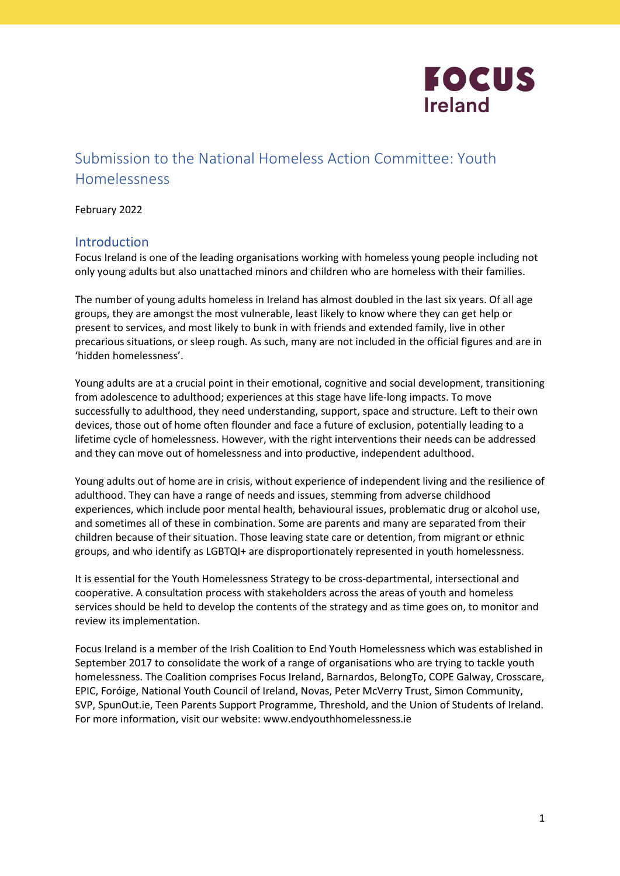

# Submission to the National Homeless Action Committee: Youth Homelessness

#### February 2022

# **Introduction**

Focus Ireland is one of the leading organisations working with homeless young people including not only young adults but also unattached minors and children who are homeless with their families.

The number of young adults homeless in Ireland has almost doubled in the last six years. Of all age groups, they are amongst the most vulnerable, least likely to know where they can get help or present to services, and most likely to bunk in with friends and extended family, live in other precarious situations, or sleep rough. As such, many are not included in the official figures and are in 'hidden homelessness'.

Young adults are at a crucial point in their emotional, cognitive and social development, transitioning from adolescence to adulthood; experiences at this stage have life-long impacts. To move successfully to adulthood, they need understanding, support, space and structure. Left to their own devices, those out of home often flounder and face a future of exclusion, potentially leading to a lifetime cycle of homelessness. However, with the right interventions their needs can be addressed and they can move out of homelessness and into productive, independent adulthood.

Young adults out of home are in crisis, without experience of independent living and the resilience of adulthood. They can have a range of needs and issues, stemming from adverse childhood experiences, which include poor mental health, behavioural issues, problematic drug or alcohol use, and sometimes all of these in combination. Some are parents and many are separated from their children because of their situation. Those leaving state care or detention, from migrant or ethnic groups, and who identify as LGBTQI+ are disproportionately represented in youth homelessness.

It is essential for the Youth Homelessness Strategy to be cross-departmental, intersectional and cooperative. A consultation process with stakeholders across the areas of youth and homeless services should be held to develop the contents of the strategy and as time goes on, to monitor and review its implementation.

Focus Ireland is a member of the Irish Coalition to End Youth Homelessness which was established in September 2017 to consolidate the work of a range of organisations who are trying to tackle youth homelessness. The Coalition comprises Focus Ireland, Barnardos, BelongTo, COPE Galway, Crosscare, EPIC, Foróige, National Youth Council of Ireland, Novas, Peter McVerry Trust, Simon Community, SVP, SpunOut.ie, Teen Parents Support Programme, Threshold, and the Union of Students of Ireland. For more information, visit our website: www.endyouthhomelessness.ie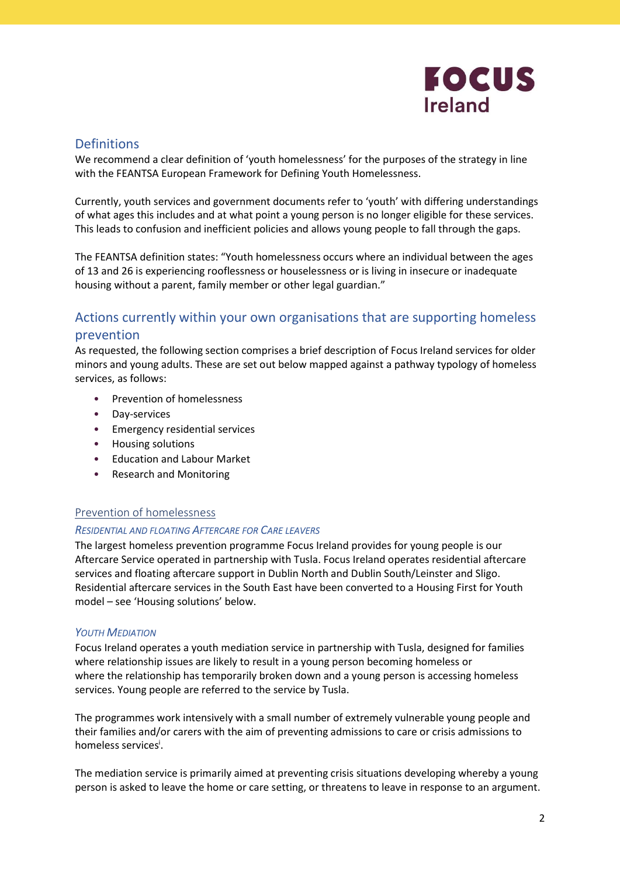

# **Definitions**

We recommend a clear definition of 'youth homelessness' for the purposes of the strategy in line with the FEANTSA European Framework for Defining Youth Homelessness.

Currently, youth services and government documents refer to 'youth' with differing understandings of what ages this includes and at what point a young person is no longer eligible for these services. This leads to confusion and inefficient policies and allows young people to fall through the gaps.

The FEANTSA definition states: "Youth homelessness occurs where an individual between the ages of 13 and 26 is experiencing rooflessness or houselessness or is living in insecure or inadequate housing without a parent, family member or other legal guardian."

# Actions currently within your own organisations that are supporting homeless prevention

As requested, the following section comprises a brief description of Focus Ireland services for older minors and young adults. These are set out below mapped against a pathway typology of homeless services, as follows:

- Prevention of homelessness
- Day-services
- Emergency residential services
- Housing solutions
- Education and Labour Market
- Research and Monitoring

#### Prevention of homelessness

#### RESIDENTIAL AND FLOATING AFTERCARE FOR CARE LEAVERS

The largest homeless prevention programme Focus Ireland provides for young people is our Aftercare Service operated in partnership with Tusla. Focus Ireland operates residential aftercare services and floating aftercare support in Dublin North and Dublin South/Leinster and Sligo. Residential aftercare services in the South East have been converted to a Housing First for Youth model – see 'Housing solutions' below.

#### **YOUTH MEDIATION**

Focus Ireland operates a youth mediation service in partnership with Tusla, designed for families where relationship issues are likely to result in a young person becoming homeless or where the relationship has temporarily broken down and a young person is accessing homeless services. Young people are referred to the service by Tusla.

The programmes work intensively with a small number of extremely vulnerable young people and their families and/or carers with the aim of preventing admissions to care or crisis admissions to homeless services<sup>i</sup>.

The mediation service is primarily aimed at preventing crisis situations developing whereby a young person is asked to leave the home or care setting, or threatens to leave in response to an argument.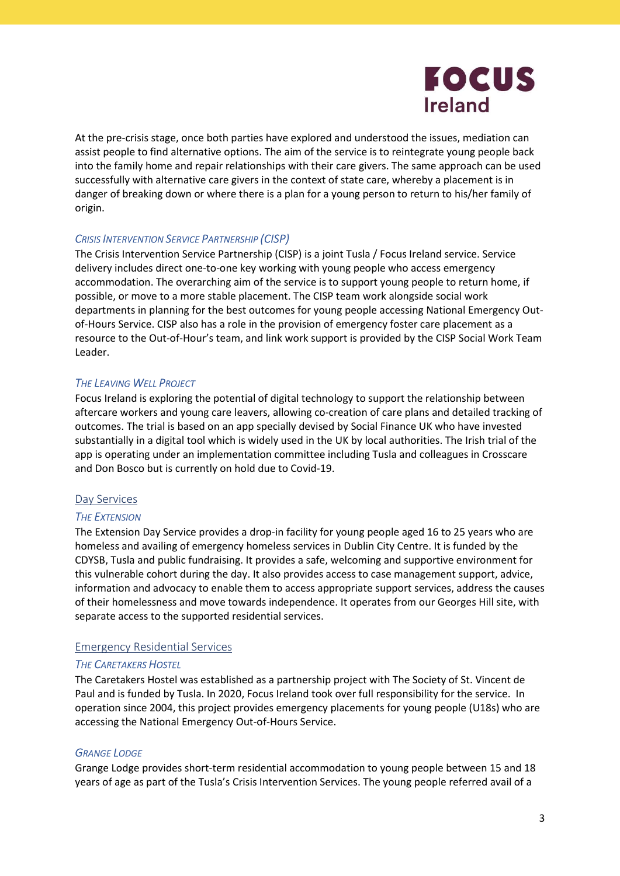

At the pre-crisis stage, once both parties have explored and understood the issues, mediation can assist people to find alternative options. The aim of the service is to reintegrate young people back into the family home and repair relationships with their care givers. The same approach can be used successfully with alternative care givers in the context of state care, whereby a placement is in danger of breaking down or where there is a plan for a young person to return to his/her family of origin.

#### CRISIS INTERVENTION SERVICE PARTNERSHIP (CISP)

The Crisis Intervention Service Partnership (CISP) is a joint Tusla / Focus Ireland service. Service delivery includes direct one-to-one key working with young people who access emergency accommodation. The overarching aim of the service is to support young people to return home, if possible, or move to a more stable placement. The CISP team work alongside social work departments in planning for the best outcomes for young people accessing National Emergency Outof-Hours Service. CISP also has a role in the provision of emergency foster care placement as a resource to the Out-of-Hour's team, and link work support is provided by the CISP Social Work Team Leader.

# THE LEAVING WELL PROJECT

Focus Ireland is exploring the potential of digital technology to support the relationship between aftercare workers and young care leavers, allowing co-creation of care plans and detailed tracking of outcomes. The trial is based on an app specially devised by Social Finance UK who have invested substantially in a digital tool which is widely used in the UK by local authorities. The Irish trial of the app is operating under an implementation committee including Tusla and colleagues in Crosscare and Don Bosco but is currently on hold due to Covid-19.

#### Day Services

#### **THE EXTENSION**

The Extension Day Service provides a drop-in facility for young people aged 16 to 25 years who are homeless and availing of emergency homeless services in Dublin City Centre. It is funded by the CDYSB, Tusla and public fundraising. It provides a safe, welcoming and supportive environment for this vulnerable cohort during the day. It also provides access to case management support, advice, information and advocacy to enable them to access appropriate support services, address the causes of their homelessness and move towards independence. It operates from our Georges Hill site, with separate access to the supported residential services.

#### Emergency Residential Services

#### THE CARETAKERS HOSTEL

The Caretakers Hostel was established as a partnership project with The Society of St. Vincent de Paul and is funded by Tusla. In 2020, Focus Ireland took over full responsibility for the service. In operation since 2004, this project provides emergency placements for young people (U18s) who are accessing the National Emergency Out-of-Hours Service.

#### GRANGE LODGE

Grange Lodge provides short-term residential accommodation to young people between 15 and 18 years of age as part of the Tusla's Crisis Intervention Services. The young people referred avail of a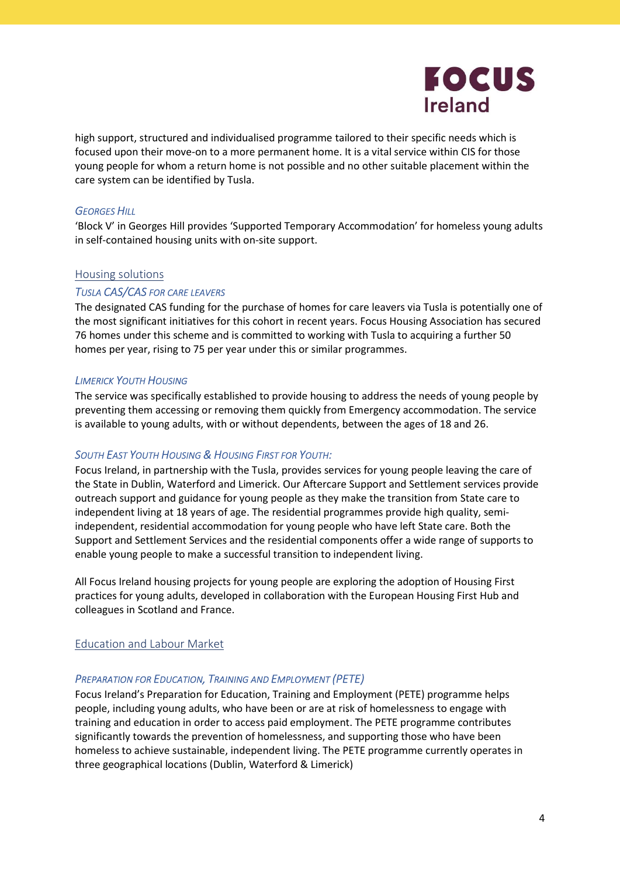

high support, structured and individualised programme tailored to their specific needs which is focused upon their move-on to a more permanent home. It is a vital service within CIS for those young people for whom a return home is not possible and no other suitable placement within the care system can be identified by Tusla.

# **GEORGES HILL**

'Block V' in Georges Hill provides 'Supported Temporary Accommodation' for homeless young adults in self-contained housing units with on-site support.

#### Housing solutions

#### TUSLA CAS/CAS FOR CARE LEAVERS

The designated CAS funding for the purchase of homes for care leavers via Tusla is potentially one of the most significant initiatives for this cohort in recent years. Focus Housing Association has secured 76 homes under this scheme and is committed to working with Tusla to acquiring a further 50 homes per year, rising to 75 per year under this or similar programmes.

#### LIMERICK YOUTH HOUSING

The service was specifically established to provide housing to address the needs of young people by preventing them accessing or removing them quickly from Emergency accommodation. The service is available to young adults, with or without dependents, between the ages of 18 and 26.

#### SOUTH EAST YOUTH HOUSING & HOUSING FIRST FOR YOUTH:

Focus Ireland, in partnership with the Tusla, provides services for young people leaving the care of the State in Dublin, Waterford and Limerick. Our Aftercare Support and Settlement services provide outreach support and guidance for young people as they make the transition from State care to independent living at 18 years of age. The residential programmes provide high quality, semiindependent, residential accommodation for young people who have left State care. Both the Support and Settlement Services and the residential components offer a wide range of supports to enable young people to make a successful transition to independent living.

All Focus Ireland housing projects for young people are exploring the adoption of Housing First practices for young adults, developed in collaboration with the European Housing First Hub and colleagues in Scotland and France.

#### Education and Labour Market

#### PREPARATION FOR EDUCATION, TRAINING AND EMPLOYMENT (PETE)

Focus Ireland's Preparation for Education, Training and Employment (PETE) programme helps people, including young adults, who have been or are at risk of homelessness to engage with training and education in order to access paid employment. The PETE programme contributes significantly towards the prevention of homelessness, and supporting those who have been homeless to achieve sustainable, independent living. The PETE programme currently operates in three geographical locations (Dublin, Waterford & Limerick)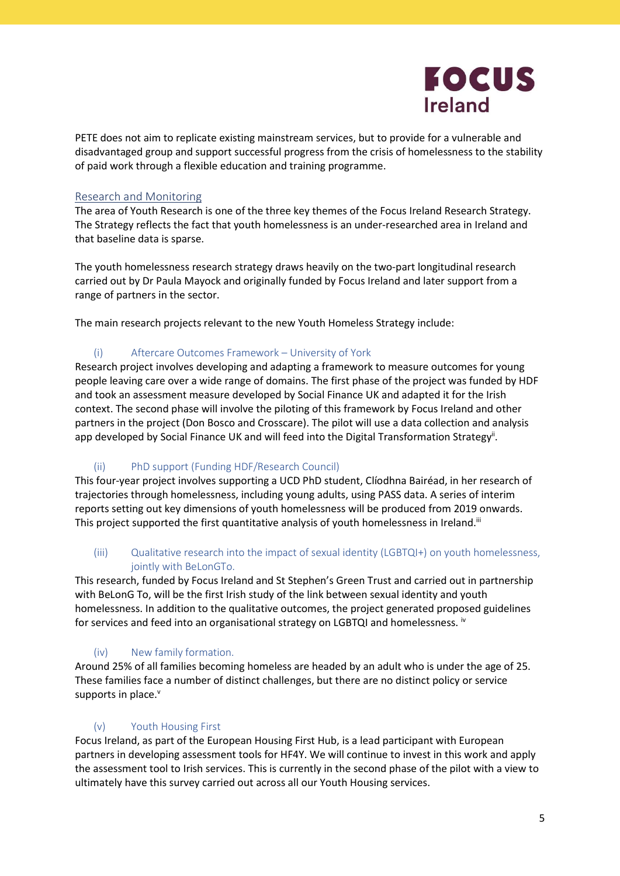

PETE does not aim to replicate existing mainstream services, but to provide for a vulnerable and disadvantaged group and support successful progress from the crisis of homelessness to the stability of paid work through a flexible education and training programme.

# Research and Monitoring

The area of Youth Research is one of the three key themes of the Focus Ireland Research Strategy. The Strategy reflects the fact that youth homelessness is an under-researched area in Ireland and that baseline data is sparse.

The youth homelessness research strategy draws heavily on the two-part longitudinal research carried out by Dr Paula Mayock and originally funded by Focus Ireland and later support from a range of partners in the sector.

The main research projects relevant to the new Youth Homeless Strategy include:

# (i) Aftercare Outcomes Framework – University of York

Research project involves developing and adapting a framework to measure outcomes for young people leaving care over a wide range of domains. The first phase of the project was funded by HDF and took an assessment measure developed by Social Finance UK and adapted it for the Irish context. The second phase will involve the piloting of this framework by Focus Ireland and other partners in the project (Don Bosco and Crosscare). The pilot will use a data collection and analysis app developed by Social Finance UK and will feed into the Digital Transformation Strategy<sup>ii</sup>.

# (ii) PhD support (Funding HDF/Research Council)

This four-year project involves supporting a UCD PhD student, Clíodhna Bairéad, in her research of trajectories through homelessness, including young adults, using PASS data. A series of interim reports setting out key dimensions of youth homelessness will be produced from 2019 onwards. This project supported the first quantitative analysis of youth homelessness in Ireland.<sup>iii</sup>

# (iii) Qualitative research into the impact of sexual identity (LGBTQI+) on youth homelessness, jointly with BeLonGTo.

This research, funded by Focus Ireland and St Stephen's Green Trust and carried out in partnership with BeLonG To, will be the first Irish study of the link between sexual identity and youth homelessness. In addition to the qualitative outcomes, the project generated proposed guidelines for services and feed into an organisational strategy on LGBTQI and homelessness. <sup>iv</sup>

# (iv) New family formation.

Around 25% of all families becoming homeless are headed by an adult who is under the age of 25. These families face a number of distinct challenges, but there are no distinct policy or service supports in place.<sup>v</sup>

# (v) Youth Housing First

Focus Ireland, as part of the European Housing First Hub, is a lead participant with European partners in developing assessment tools for HF4Y. We will continue to invest in this work and apply the assessment tool to Irish services. This is currently in the second phase of the pilot with a view to ultimately have this survey carried out across all our Youth Housing services.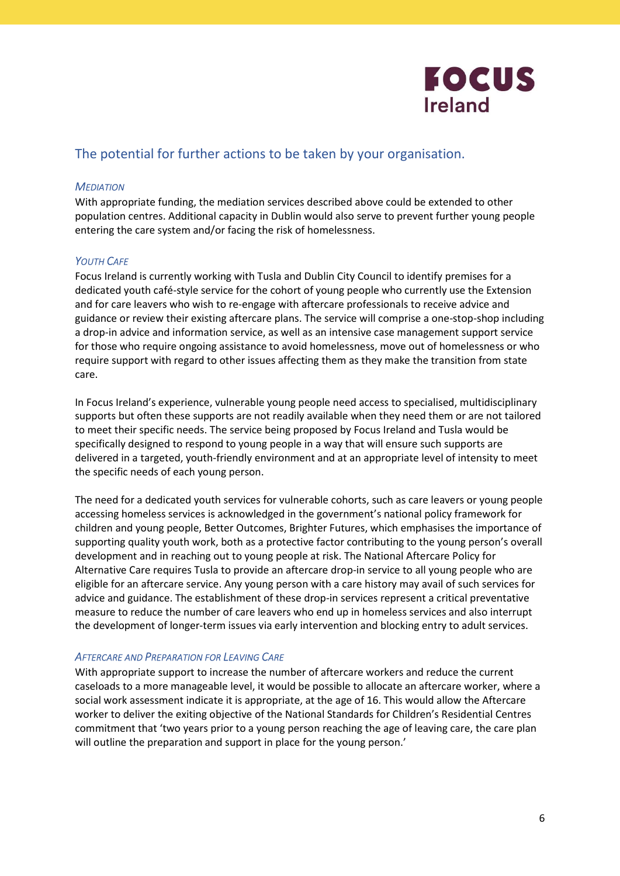

# The potential for further actions to be taken by your organisation.

# **MEDIATION**

With appropriate funding, the mediation services described above could be extended to other population centres. Additional capacity in Dublin would also serve to prevent further young people entering the care system and/or facing the risk of homelessness.

# **YOUTH CAFE**

Focus Ireland is currently working with Tusla and Dublin City Council to identify premises for a dedicated youth café-style service for the cohort of young people who currently use the Extension and for care leavers who wish to re-engage with aftercare professionals to receive advice and guidance or review their existing aftercare plans. The service will comprise a one-stop-shop including a drop-in advice and information service, as well as an intensive case management support service for those who require ongoing assistance to avoid homelessness, move out of homelessness or who require support with regard to other issues affecting them as they make the transition from state care.

In Focus Ireland's experience, vulnerable young people need access to specialised, multidisciplinary supports but often these supports are not readily available when they need them or are not tailored to meet their specific needs. The service being proposed by Focus Ireland and Tusla would be specifically designed to respond to young people in a way that will ensure such supports are delivered in a targeted, youth-friendly environment and at an appropriate level of intensity to meet the specific needs of each young person.

The need for a dedicated youth services for vulnerable cohorts, such as care leavers or young people accessing homeless services is acknowledged in the government's national policy framework for children and young people, Better Outcomes, Brighter Futures, which emphasises the importance of supporting quality youth work, both as a protective factor contributing to the young person's overall development and in reaching out to young people at risk. The National Aftercare Policy for Alternative Care requires Tusla to provide an aftercare drop-in service to all young people who are eligible for an aftercare service. Any young person with a care history may avail of such services for advice and guidance. The establishment of these drop-in services represent a critical preventative measure to reduce the number of care leavers who end up in homeless services and also interrupt the development of longer-term issues via early intervention and blocking entry to adult services.

#### AFTERCARE AND PREPARATION FOR LEAVING CARE

With appropriate support to increase the number of aftercare workers and reduce the current caseloads to a more manageable level, it would be possible to allocate an aftercare worker, where a social work assessment indicate it is appropriate, at the age of 16. This would allow the Aftercare worker to deliver the exiting objective of the National Standards for Children's Residential Centres commitment that 'two years prior to a young person reaching the age of leaving care, the care plan will outline the preparation and support in place for the young person.'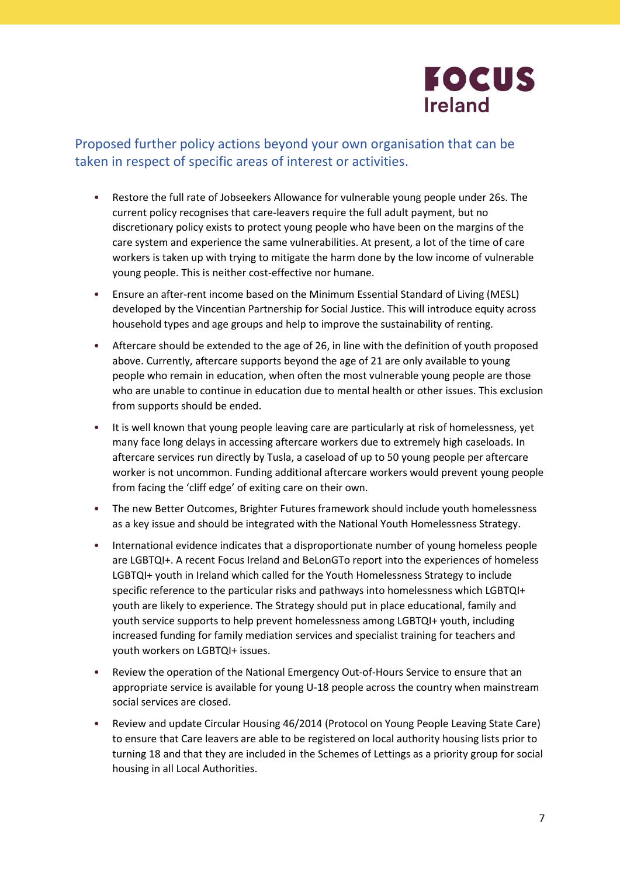

# Proposed further policy actions beyond your own organisation that can be taken in respect of specific areas of interest or activities.

- Restore the full rate of Jobseekers Allowance for vulnerable young people under 26s. The current policy recognises that care-leavers require the full adult payment, but no discretionary policy exists to protect young people who have been on the margins of the care system and experience the same vulnerabilities. At present, a lot of the time of care workers is taken up with trying to mitigate the harm done by the low income of vulnerable young people. This is neither cost-effective nor humane.
- Ensure an after-rent income based on the Minimum Essential Standard of Living (MESL) developed by the Vincentian Partnership for Social Justice. This will introduce equity across household types and age groups and help to improve the sustainability of renting.
- Aftercare should be extended to the age of 26, in line with the definition of youth proposed above. Currently, aftercare supports beyond the age of 21 are only available to young people who remain in education, when often the most vulnerable young people are those who are unable to continue in education due to mental health or other issues. This exclusion from supports should be ended.
- It is well known that young people leaving care are particularly at risk of homelessness, yet many face long delays in accessing aftercare workers due to extremely high caseloads. In aftercare services run directly by Tusla, a caseload of up to 50 young people per aftercare worker is not uncommon. Funding additional aftercare workers would prevent young people from facing the 'cliff edge' of exiting care on their own.
- The new Better Outcomes, Brighter Futures framework should include youth homelessness as a key issue and should be integrated with the National Youth Homelessness Strategy.
- International evidence indicates that a disproportionate number of young homeless people are LGBTQI+. A recent Focus Ireland and BeLonGTo report into the experiences of homeless LGBTQI+ youth in Ireland which called for the Youth Homelessness Strategy to include specific reference to the particular risks and pathways into homelessness which LGBTQI+ youth are likely to experience. The Strategy should put in place educational, family and youth service supports to help prevent homelessness among LGBTQI+ youth, including increased funding for family mediation services and specialist training for teachers and youth workers on LGBTQI+ issues.
- Review the operation of the National Emergency Out-of-Hours Service to ensure that an appropriate service is available for young U-18 people across the country when mainstream social services are closed.
- Review and update Circular Housing 46/2014 (Protocol on Young People Leaving State Care) to ensure that Care leavers are able to be registered on local authority housing lists prior to turning 18 and that they are included in the Schemes of Lettings as a priority group for social housing in all Local Authorities.